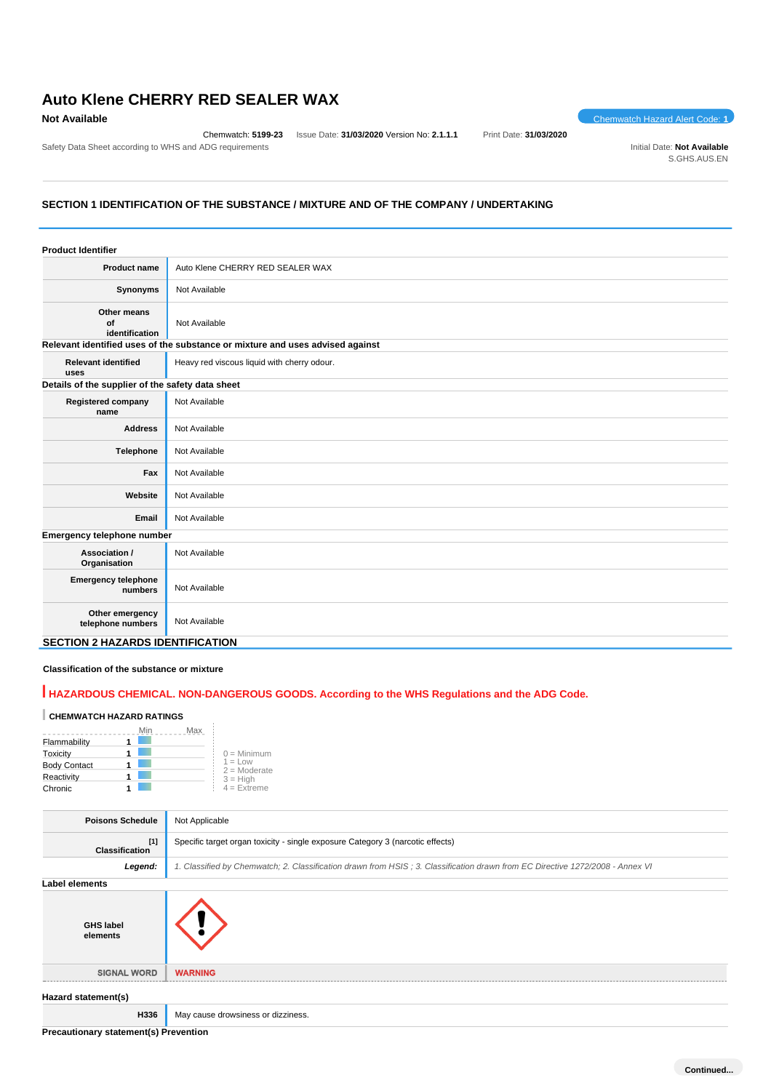# **Auto Klene CHERRY RED SEALER WAX**

Chemwatch: **5199-23** Issue Date: **31/03/2020** Version No: **2.1.1.1** Print Date: **31/03/2020**

**Not Available** Chemwatch Hazard Alert Code: **1** 

Safety Data Sheet according to WHS and ADG requirements **Initial Date:** Not Available S.GHS.AUS.EN

### **SECTION 1 IDENTIFICATION OF THE SUBSTANCE / MIXTURE AND OF THE COMPANY / UNDERTAKING**

| <b>Product Identifier</b>                        |                                                                               |
|--------------------------------------------------|-------------------------------------------------------------------------------|
| <b>Product name</b>                              | Auto Klene CHERRY RED SEALER WAX                                              |
| Synonyms                                         | Not Available                                                                 |
| Other means<br>of<br>identification              | Not Available                                                                 |
|                                                  | Relevant identified uses of the substance or mixture and uses advised against |
| <b>Relevant identified</b><br>uses               | Heavy red viscous liquid with cherry odour.                                   |
| Details of the supplier of the safety data sheet |                                                                               |
| <b>Registered company</b><br>name                | Not Available                                                                 |
| <b>Address</b>                                   | Not Available                                                                 |
| Telephone                                        | Not Available                                                                 |
| Fax                                              | Not Available                                                                 |
| Website                                          | Not Available                                                                 |
| Email                                            | Not Available                                                                 |
| Emergency telephone number                       |                                                                               |
| Association /<br>Organisation                    | Not Available                                                                 |
| <b>Emergency telephone</b><br>numbers            | Not Available                                                                 |
| Other emergency<br>telephone numbers             | Not Available                                                                 |
| <b>SECTION 2 HAZARDS IDENTIFICATION</b>          |                                                                               |

### **Classification of the substance or mixture**

## **HAZARDOUS CHEMICAL. NON-DANGEROUS GOODS. According to the WHS Regulations and the ADG Code.**

## **CHEMWATCH HAZARD RATINGS**

|                     | May |                             |
|---------------------|-----|-----------------------------|
| Flammability        |     |                             |
| Toxicity            |     | $0 =$ Minimum               |
| <b>Body Contact</b> |     | $1 = Low$<br>$2 =$ Moderate |
| Reactivity          |     | $3 = High$                  |
| Chronic             |     | $4 =$ Extreme               |

| <b>Poisons Schedule</b>               | Not Applicable                                                                                                                |
|---------------------------------------|-------------------------------------------------------------------------------------------------------------------------------|
| $[1]$<br><b>Classification</b>        | Specific target organ toxicity - single exposure Category 3 (narcotic effects)                                                |
| Legend:                               | 1. Classified by Chemwatch; 2. Classification drawn from HSIS; 3. Classification drawn from EC Directive 1272/2008 - Annex VI |
| Label elements                        |                                                                                                                               |
| <b>GHS label</b><br>elements          |                                                                                                                               |
| <b>SIGNAL WORD</b>                    | <b>WARNING</b>                                                                                                                |
| Hazard statement(s)                   |                                                                                                                               |
| H336                                  | May cause drowsiness or dizziness.                                                                                            |
| Precautionary statement(s) Prevention |                                                                                                                               |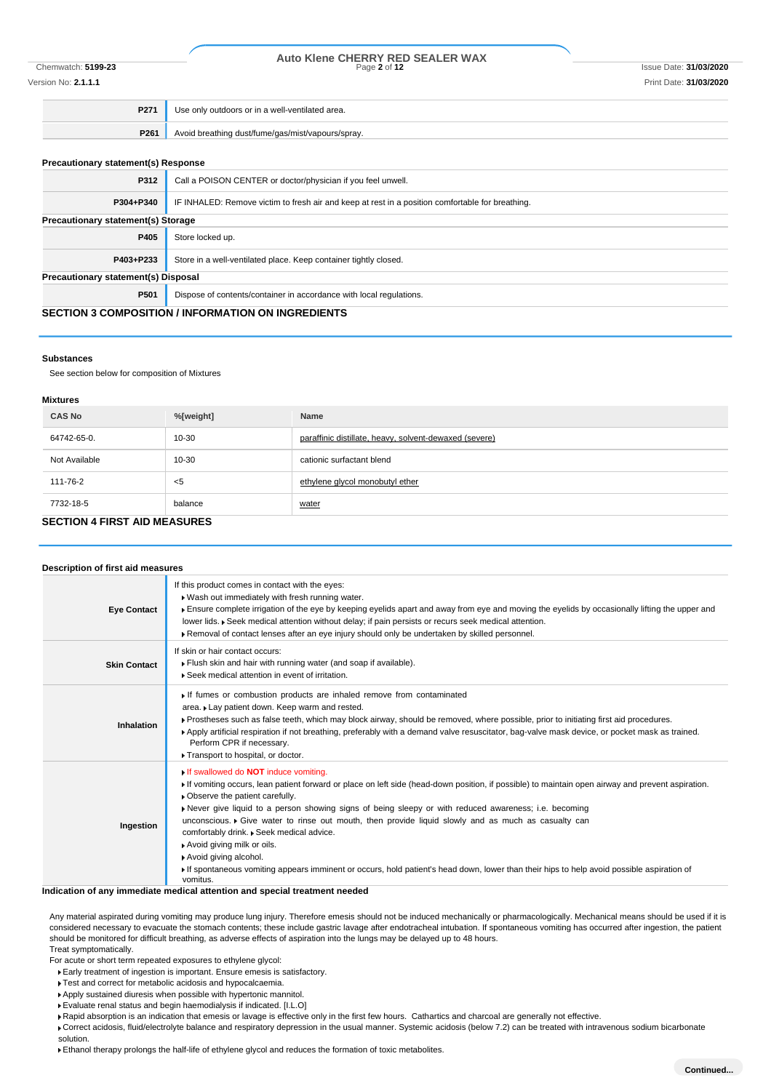## Chemwatch: **5199-23** Page **2** of **12** Issue Date: **31/03/2020 Auto Klene CHERRY RED SEALER WAX** Version No: **2.1.1.1** Print Date: **31/03/2020**

| P271 | Use only outdoors or in a well-ventilated area.   |
|------|---------------------------------------------------|
| P261 | Avoid breathing dust/fume/gas/mist/vapours/spray. |

### **Precautionary statement(s) Response**

| P312                                                      | Call a POISON CENTER or doctor/physician if you feel unwell.                                     |  |
|-----------------------------------------------------------|--------------------------------------------------------------------------------------------------|--|
| P304+P340                                                 | IF INHALED: Remove victim to fresh air and keep at rest in a position comfortable for breathing. |  |
| Precautionary statement(s) Storage                        |                                                                                                  |  |
| P405                                                      | Store locked up.                                                                                 |  |
| P403+P233                                                 | Store in a well-ventilated place. Keep container tightly closed.                                 |  |
| Precautionary statement(s) Disposal                       |                                                                                                  |  |
| P501                                                      | Dispose of contents/container in accordance with local regulations.                              |  |
| <b>CECTION 3 COMBOCITION / INFORMATION ON INCREDIENTS</b> |                                                                                                  |  |

### **SECTION 3 COMPOSITION / INFORMATION ON INGREDIENTS**

### **Substances**

See section below for composition of Mixtures

### **Mixtures**

| <b>IVIIALUI 69</b>                  |           |                                                        |  |
|-------------------------------------|-----------|--------------------------------------------------------|--|
| <b>CAS No</b>                       | %[weight] | Name                                                   |  |
| 64742-65-0.                         | $10 - 30$ | paraffinic distillate, heavy, solvent-dewaxed (severe) |  |
| Not Available                       | $10 - 30$ | cationic surfactant blend                              |  |
| 111-76-2                            | <5        | ethylene glycol monobutyl ether                        |  |
| 7732-18-5                           | balance   | water                                                  |  |
| <b>SECTION 4 FIRST AID MEASURES</b> |           |                                                        |  |

| Description of first aid measures |                                                                                                                                                                                                                                                                                                                                                                                                                                                                                                                                                                                                                                                                                                                                |
|-----------------------------------|--------------------------------------------------------------------------------------------------------------------------------------------------------------------------------------------------------------------------------------------------------------------------------------------------------------------------------------------------------------------------------------------------------------------------------------------------------------------------------------------------------------------------------------------------------------------------------------------------------------------------------------------------------------------------------------------------------------------------------|
| <b>Eye Contact</b>                | If this product comes in contact with the eyes:<br>. Wash out immediately with fresh running water.<br>Ensure complete irrigation of the eye by keeping eyelids apart and away from eye and moving the eyelids by occasionally lifting the upper and<br>lower lids. ▶ Seek medical attention without delay; if pain persists or recurs seek medical attention.<br>Removal of contact lenses after an eye injury should only be undertaken by skilled personnel.                                                                                                                                                                                                                                                                |
| <b>Skin Contact</b>               | If skin or hair contact occurs:<br>Flush skin and hair with running water (and soap if available).<br>▶ Seek medical attention in event of irritation.                                                                                                                                                                                                                                                                                                                                                                                                                                                                                                                                                                         |
| Inhalation                        | If fumes or combustion products are inhaled remove from contaminated<br>area. Lay patient down. Keep warm and rested.<br>▶ Prostheses such as false teeth, which may block airway, should be removed, where possible, prior to initiating first aid procedures.<br>▶ Apply artificial respiration if not breathing, preferably with a demand valve resuscitator, bag-valve mask device, or pocket mask as trained.<br>Perform CPR if necessary.<br>Transport to hospital, or doctor.                                                                                                                                                                                                                                           |
| Ingestion                         | If swallowed do <b>NOT</b> induce vomiting.<br>If vomiting occurs, lean patient forward or place on left side (head-down position, if possible) to maintain open airway and prevent aspiration.<br>• Observe the patient carefully.<br>Never give liquid to a person showing signs of being sleepy or with reduced awareness; i.e. becoming<br>unconscious. $\triangleright$ Give water to rinse out mouth, then provide liquid slowly and as much as casualty can<br>comfortably drink. . Seek medical advice.<br>Avoid giving milk or oils.<br>Avoid giving alcohol.<br>If spontaneous vomiting appears imminent or occurs, hold patient's head down, lower than their hips to help avoid possible aspiration of<br>vomitus. |

### **Indication of any immediate medical attention and special treatment needed**

Any material aspirated during vomiting may produce lung injury. Therefore emesis should not be induced mechanically or pharmacologically. Mechanical means should be used if it is considered necessary to evacuate the stomach contents; these include gastric lavage after endotracheal intubation. If spontaneous vomiting has occurred after ingestion, the patient should be monitored for difficult breathing, as adverse effects of aspiration into the lungs may be delayed up to 48 hours. Treat symptomatically.

For acute or short term repeated exposures to ethylene glycol:

Early treatment of ingestion is important. Ensure emesis is satisfactory.

**Test and correct for metabolic acidosis and hypocalcaemia.** 

Apply sustained diuresis when possible with hypertonic mannitol.

Evaluate renal status and begin haemodialysis if indicated. [I.L.O]

Rapid absorption is an indication that emesis or lavage is effective only in the first few hours. Cathartics and charcoal are generally not effective.

Correct acidosis, fluid/electrolyte balance and respiratory depression in the usual manner. Systemic acidosis (below 7.2) can be treated with intravenous sodium bicarbonate solution.

Ethanol therapy prolongs the half-life of ethylene glycol and reduces the formation of toxic metabolites.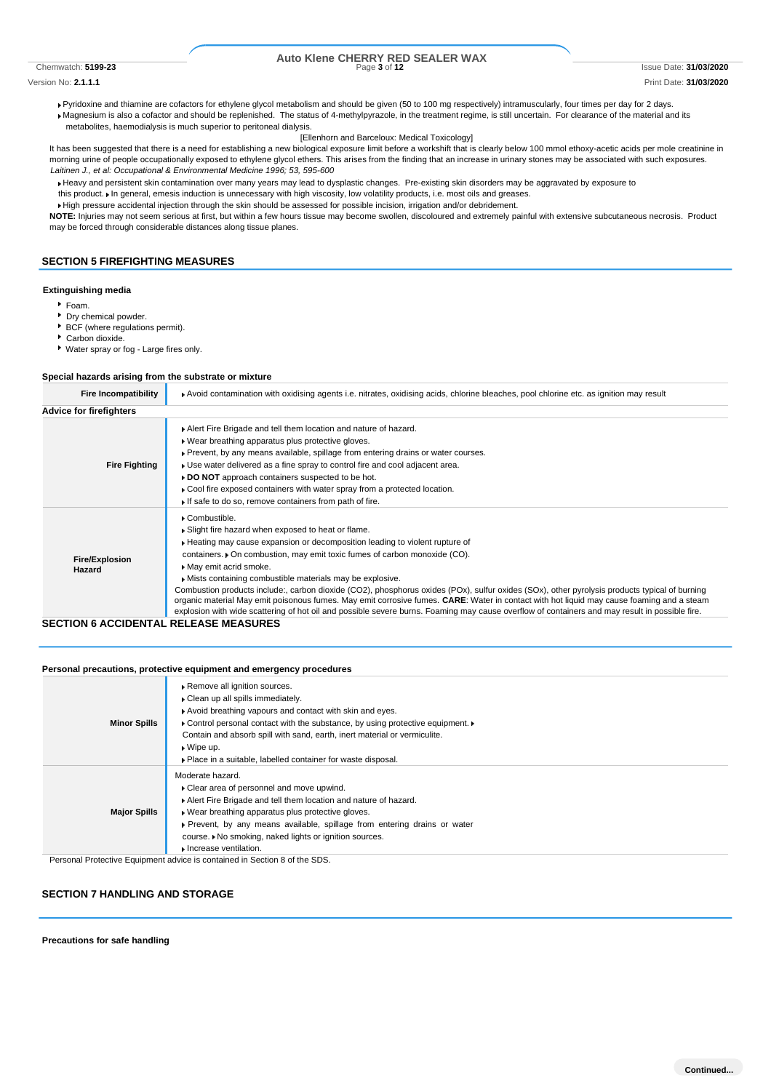# Chemwatch: **5199-23** Page **3** of **12** Issue Date: **31/03/2020 Auto Klene CHERRY RED SEALER WAX**

Version No: **2.1.1.1** Print Date: **31/03/2020**

Pyridoxine and thiamine are cofactors for ethylene glycol metabolism and should be given (50 to 100 mg respectively) intramuscularly, four times per day for 2 days. Magnesium is also a cofactor and should be replenished. The status of 4-methylpyrazole, in the treatment regime, is still uncertain. For clearance of the material and its metabolites, haemodialysis is much superior to peritoneal dialysis.

### [Ellenhorn and Barceloux: Medical Toxicology]

It has been suggested that there is a need for establishing a new biological exposure limit before a workshift that is clearly below 100 mmol ethoxy-acetic acids per mole creatinine in morning urine of people occupationally exposed to ethylene glycol ethers. This arises from the finding that an increase in urinary stones may be associated with such exposures. *Laitinen J., et al: Occupational & Environmental Medicine 1996; 53, 595-600*

Heavy and persistent skin contamination over many years may lead to dysplastic changes. Pre-existing skin disorders may be aggravated by exposure to this product. I In general, emesis induction is unnecessary with high viscosity, low volatility products, i.e. most oils and greases.

High pressure accidental injection through the skin should be assessed for possible incision, irrigation and/or debridement.

**NOTE:** Injuries may not seem serious at first, but within a few hours tissue may become swollen, discoloured and extremely painful with extensive subcutaneous necrosis. Product may be forced through considerable distances along tissue planes.

### **SECTION 5 FIREFIGHTING MEASURES**

### **Extinguishing media**

- Foam.
- Dry chemical powder.
- BCF (where regulations permit).
- Carbon dioxide.
- Water spray or fog Large fires only.

### **Special hazards arising from the substrate or mixture**

| <b>Fire Incompatibility</b>                             | ▶ Avoid contamination with oxidising agents i.e. nitrates, oxidising acids, chlorine bleaches, pool chlorine etc. as ignition may result                                                                                                                                                                                                                                                                                                                                                                                                                                                                                                                                                                                                                                                        |  |  |  |  |
|---------------------------------------------------------|-------------------------------------------------------------------------------------------------------------------------------------------------------------------------------------------------------------------------------------------------------------------------------------------------------------------------------------------------------------------------------------------------------------------------------------------------------------------------------------------------------------------------------------------------------------------------------------------------------------------------------------------------------------------------------------------------------------------------------------------------------------------------------------------------|--|--|--|--|
| <b>Advice for firefighters</b>                          |                                                                                                                                                                                                                                                                                                                                                                                                                                                                                                                                                                                                                                                                                                                                                                                                 |  |  |  |  |
| <b>Fire Fighting</b>                                    | Alert Fire Brigade and tell them location and nature of hazard.<br>• Wear breathing apparatus plus protective gloves.<br>▶ Prevent, by any means available, spillage from entering drains or water courses.<br>► Use water delivered as a fine spray to control fire and cool adjacent area.<br>► DO NOT approach containers suspected to be hot.<br>Cool fire exposed containers with water spray from a protected location.<br>If safe to do so, remove containers from path of fire.                                                                                                                                                                                                                                                                                                         |  |  |  |  |
| <b>Fire/Explosion</b><br>Hazard<br>CECTION & ACCIDENTAL | ▶ Combustible.<br>Slight fire hazard when exposed to heat or flame.<br>Heating may cause expansion or decomposition leading to violent rupture of<br>containers. • On combustion, may emit toxic fumes of carbon monoxide (CO).<br>May emit acrid smoke.<br>Mists containing combustible materials may be explosive.<br>Combustion products include:, carbon dioxide (CO2), phosphorus oxides (POx), sulfur oxides (SOx), other pyrolysis products typical of burning<br>organic material May emit poisonous fumes. May emit corrosive fumes. CARE: Water in contact with hot liquid may cause foaming and a steam<br>explosion with wide scattering of hot oil and possible severe burns. Foaming may cause overflow of containers and may result in possible fire.<br><b>DELEACE MEACHDEC</b> |  |  |  |  |

### **SECTION 6 ACCIDENTAL RELEASE MEASURES**

### **Personal precautions, protective equipment and emergency procedures**

| <b>Minor Spills</b> | Remove all ignition sources.<br>Clean up all spills immediately.<br>Avoid breathing vapours and contact with skin and eyes.<br>• Control personal contact with the substance, by using protective equipment.<br>Contain and absorb spill with sand, earth, inert material or vermiculite.<br>$\blacktriangleright$ Wipe up. |
|---------------------|-----------------------------------------------------------------------------------------------------------------------------------------------------------------------------------------------------------------------------------------------------------------------------------------------------------------------------|
|                     | • Place in a suitable, labelled container for waste disposal.                                                                                                                                                                                                                                                               |
|                     | Moderate hazard.                                                                                                                                                                                                                                                                                                            |
| <b>Major Spills</b> | ▶ Clear area of personnel and move upwind.                                                                                                                                                                                                                                                                                  |
|                     | Alert Fire Brigade and tell them location and nature of hazard.                                                                                                                                                                                                                                                             |
|                     | ▶ Wear breathing apparatus plus protective gloves.                                                                                                                                                                                                                                                                          |
|                     | ▶ Prevent, by any means available, spillage from entering drains or water                                                                                                                                                                                                                                                   |
|                     | course. • No smoking, naked lights or ignition sources.                                                                                                                                                                                                                                                                     |
|                     | Increase ventilation.                                                                                                                                                                                                                                                                                                       |

Personal Protective Equipment advice is contained in Section 8 of the SDS.

### **SECTION 7 HANDLING AND STORAGE**

### **Precautions for safe handling**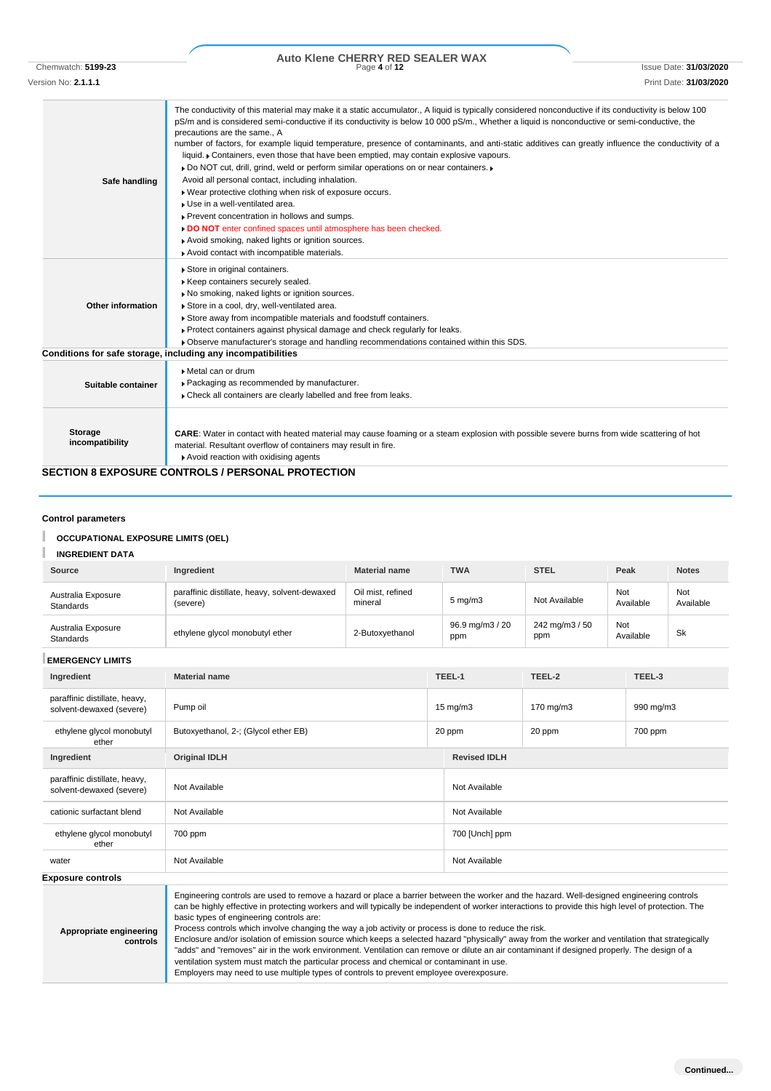## Chemwatch: **5199-23** Page **4** of **12** Issue Date: **31/03/2020 Auto Klene CHERRY RED SEALER WAX**

Version No: **2.1.1.1** Print Date: **31/03/2020**

| Safe handling                     | The conductivity of this material may make it a static accumulator., A liquid is typically considered nonconductive if its conductivity is below 100<br>pS/m and is considered semi-conductive if its conductivity is below 10 000 pS/m., Whether a liquid is nonconductive or semi-conductive, the<br>precautions are the same., A<br>number of factors, for example liquid temperature, presence of contaminants, and anti-static additives can greatly influence the conductivity of a<br>liquid. Containers, even those that have been emptied, may contain explosive vapours.<br>▶ Do NOT cut, drill, grind, weld or perform similar operations on or near containers. ▶<br>Avoid all personal contact, including inhalation.<br>. Wear protective clothing when risk of exposure occurs.<br>Use in a well-ventilated area.<br>Prevent concentration in hollows and sumps.<br>DO NOT enter confined spaces until atmosphere has been checked.<br>Avoid smoking, naked lights or ignition sources.<br>Avoid contact with incompatible materials. |
|-----------------------------------|------------------------------------------------------------------------------------------------------------------------------------------------------------------------------------------------------------------------------------------------------------------------------------------------------------------------------------------------------------------------------------------------------------------------------------------------------------------------------------------------------------------------------------------------------------------------------------------------------------------------------------------------------------------------------------------------------------------------------------------------------------------------------------------------------------------------------------------------------------------------------------------------------------------------------------------------------------------------------------------------------------------------------------------------------|
| Other information                 | Store in original containers.<br>Keep containers securely sealed.<br>No smoking, naked lights or ignition sources.<br>Store in a cool, dry, well-ventilated area.<br>Store away from incompatible materials and foodstuff containers.<br>▶ Protect containers against physical damage and check regularly for leaks.<br>▶ Observe manufacturer's storage and handling recommendations contained within this SDS.<br>Conditions for safe storage, including any incompatibilities                                                                                                                                                                                                                                                                                                                                                                                                                                                                                                                                                                     |
| Suitable container                | Metal can or drum<br>▶ Packaging as recommended by manufacturer.<br>Check all containers are clearly labelled and free from leaks.                                                                                                                                                                                                                                                                                                                                                                                                                                                                                                                                                                                                                                                                                                                                                                                                                                                                                                                   |
| <b>Storage</b><br>incompatibility | <b>CARE:</b> Water in contact with heated material may cause foaming or a steam explosion with possible severe burns from wide scattering of hot<br>material. Resultant overflow of containers may result in fire.                                                                                                                                                                                                                                                                                                                                                                                                                                                                                                                                                                                                                                                                                                                                                                                                                                   |

### **SECTION 8 EXPOSURE CONTROLS / PERSONAL PROTECTION**

Avoid reaction with oxidising agents

### **Control parameters**

### ı **OCCUPATIONAL EXPOSURE LIMITS (OEL)**

### ı **INGREDIENT DATA**

| Source                                                                                                                                                                                                                                                                                                                                                                                                                                                                                                                                                                                                                                            | Ingredient<br><b>Material name</b>                                                        |                 |  | <b>TWA</b>             | <b>STEL</b>            |                  | Peak    | <b>Notes</b>     |
|---------------------------------------------------------------------------------------------------------------------------------------------------------------------------------------------------------------------------------------------------------------------------------------------------------------------------------------------------------------------------------------------------------------------------------------------------------------------------------------------------------------------------------------------------------------------------------------------------------------------------------------------------|-------------------------------------------------------------------------------------------|-----------------|--|------------------------|------------------------|------------------|---------|------------------|
| Australia Exposure<br>Standards                                                                                                                                                                                                                                                                                                                                                                                                                                                                                                                                                                                                                   | paraffinic distillate, heavy, solvent-dewaxed<br>Oil mist, refined<br>mineral<br>(severe) |                 |  | $5 \text{ mg/m}$       | Not Available          | Not<br>Available |         | Not<br>Available |
| Australia Exposure<br>Standards                                                                                                                                                                                                                                                                                                                                                                                                                                                                                                                                                                                                                   | ethylene glycol monobutyl ether                                                           | 2-Butoxyethanol |  | 96.9 mg/m3 / 20<br>ppm | 242 mg/m3 / 50<br>ppm  | Not<br>Available |         | Sk               |
| <b>EMERGENCY LIMITS</b>                                                                                                                                                                                                                                                                                                                                                                                                                                                                                                                                                                                                                           |                                                                                           |                 |  |                        |                        |                  |         |                  |
| Ingredient                                                                                                                                                                                                                                                                                                                                                                                                                                                                                                                                                                                                                                        | <b>Material name</b>                                                                      |                 |  | TEEL-1                 | TEEL-2                 |                  | TEEL-3  |                  |
| paraffinic distillate, heavy,<br>solvent-dewaxed (severe)                                                                                                                                                                                                                                                                                                                                                                                                                                                                                                                                                                                         | Pump oil                                                                                  |                 |  | $15 \text{ mg/m}$      | 170 mg/m3<br>990 mg/m3 |                  |         |                  |
| ethylene glycol monobutyl<br>ether                                                                                                                                                                                                                                                                                                                                                                                                                                                                                                                                                                                                                | Butoxyethanol, 2-; (Glycol ether EB)                                                      |                 |  | 20 ppm<br>20 ppm       |                        |                  | 700 ppm |                  |
| Ingredient                                                                                                                                                                                                                                                                                                                                                                                                                                                                                                                                                                                                                                        | <b>Original IDLH</b>                                                                      |                 |  | <b>Revised IDLH</b>    |                        |                  |         |                  |
| paraffinic distillate, heavy,<br>solvent-dewaxed (severe)                                                                                                                                                                                                                                                                                                                                                                                                                                                                                                                                                                                         | Not Available                                                                             |                 |  | Not Available          |                        |                  |         |                  |
| cationic surfactant blend                                                                                                                                                                                                                                                                                                                                                                                                                                                                                                                                                                                                                         | Not Available                                                                             |                 |  | Not Available          |                        |                  |         |                  |
| ethylene glycol monobutyl<br>ether                                                                                                                                                                                                                                                                                                                                                                                                                                                                                                                                                                                                                | 700 ppm                                                                                   |                 |  | 700 [Unch] ppm         |                        |                  |         |                  |
| water                                                                                                                                                                                                                                                                                                                                                                                                                                                                                                                                                                                                                                             | Not Available                                                                             |                 |  | Not Available          |                        |                  |         |                  |
| <b>Exposure controls</b>                                                                                                                                                                                                                                                                                                                                                                                                                                                                                                                                                                                                                          |                                                                                           |                 |  |                        |                        |                  |         |                  |
| Engineering controls are used to remove a hazard or place a barrier between the worker and the hazard. Well-designed engineering controls<br>can be highly effective in protecting workers and will typically be independent of worker interactions to provide this high level of protection. The<br>basic types of engineering controls are:<br>Process controls which involve changing the way a job activity or process is done to reduce the risk.<br>Appropriate engineering<br>Enclosure and/or isolation of emission source which keeps a selected hazard "physically" away from the worker and ventilation that strategically<br>controls |                                                                                           |                 |  |                        |                        |                  |         |                  |

**controls** "adds" and "removes" air in the work environment. Ventilation can remove or dilute an air contaminant if designed properly. The design of a ventilation system must match the particular process and chemical or contaminant in use.

Employers may need to use multiple types of controls to prevent employee overexposure.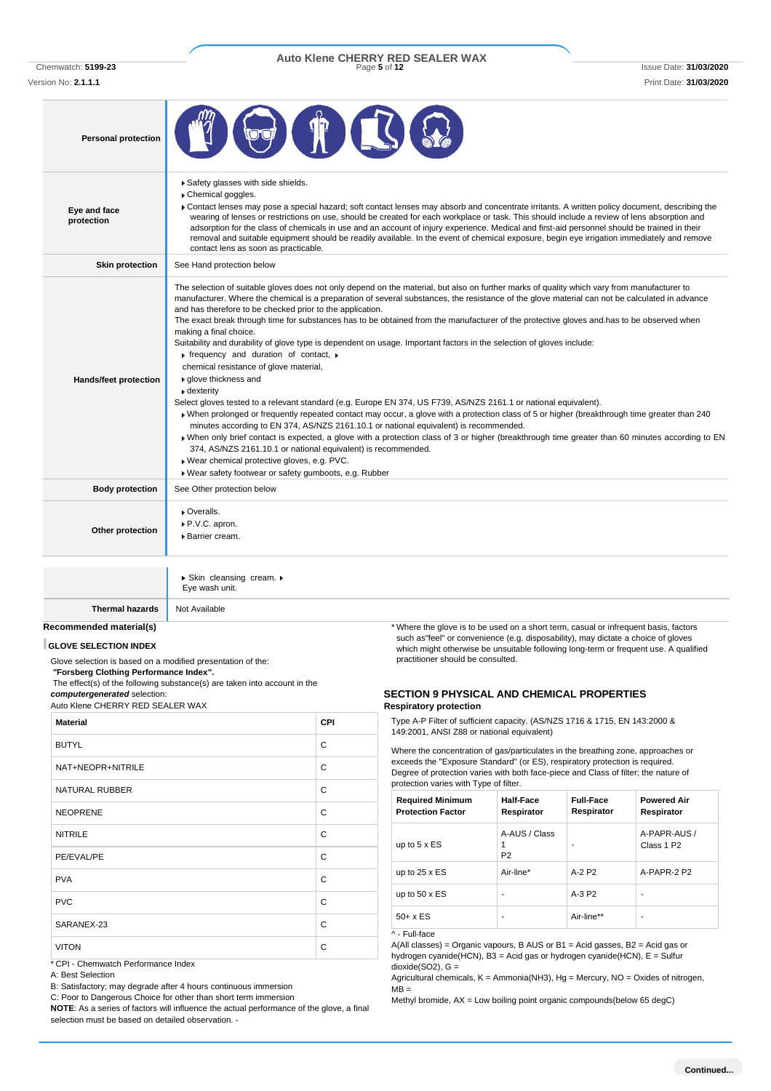Version No: **2.1.1.1** Print Date: **31/03/2020**

# Chemwatch: **5199-23** Page **5** of **12** Issue Date: **31/03/2020 Auto Klene CHERRY RED SEALER WAX**

| <b>Personal protection</b> |                                                                                                                                                                                                                                                                                                                                                                                                                                                                                                                                                                                                                                                                                                                                                                                                                                                                                                                                                                                                                                                                                                                                                                                                                                                                                                                                                                                                                                                                                                                       |
|----------------------------|-----------------------------------------------------------------------------------------------------------------------------------------------------------------------------------------------------------------------------------------------------------------------------------------------------------------------------------------------------------------------------------------------------------------------------------------------------------------------------------------------------------------------------------------------------------------------------------------------------------------------------------------------------------------------------------------------------------------------------------------------------------------------------------------------------------------------------------------------------------------------------------------------------------------------------------------------------------------------------------------------------------------------------------------------------------------------------------------------------------------------------------------------------------------------------------------------------------------------------------------------------------------------------------------------------------------------------------------------------------------------------------------------------------------------------------------------------------------------------------------------------------------------|
| Eye and face<br>protection | Safety glasses with side shields.<br>Chemical goggles.<br>Contact lenses may pose a special hazard; soft contact lenses may absorb and concentrate irritants. A written policy document, describing the<br>wearing of lenses or restrictions on use, should be created for each workplace or task. This should include a review of lens absorption and<br>adsorption for the class of chemicals in use and an account of injury experience. Medical and first-aid personnel should be trained in their<br>removal and suitable equipment should be readily available. In the event of chemical exposure, begin eye irrigation immediately and remove<br>contact lens as soon as practicable.                                                                                                                                                                                                                                                                                                                                                                                                                                                                                                                                                                                                                                                                                                                                                                                                                          |
| <b>Skin protection</b>     | See Hand protection below                                                                                                                                                                                                                                                                                                                                                                                                                                                                                                                                                                                                                                                                                                                                                                                                                                                                                                                                                                                                                                                                                                                                                                                                                                                                                                                                                                                                                                                                                             |
| Hands/feet protection      | The selection of suitable gloves does not only depend on the material, but also on further marks of quality which vary from manufacturer to<br>manufacturer. Where the chemical is a preparation of several substances, the resistance of the glove material can not be calculated in advance<br>and has therefore to be checked prior to the application.<br>The exact break through time for substances has to be obtained from the manufacturer of the protective gloves and has to be observed when<br>making a final choice.<br>Suitability and durability of glove type is dependent on usage. Important factors in the selection of gloves include:<br>$\triangleright$ frequency and duration of contact, $\triangleright$<br>chemical resistance of glove material,<br>▶ glove thickness and<br>$\bullet$ dexterity<br>Select gloves tested to a relevant standard (e.g. Europe EN 374, US F739, AS/NZS 2161.1 or national equivalent).<br>• When prolonged or frequently repeated contact may occur, a glove with a protection class of 5 or higher (breakthrough time greater than 240<br>minutes according to EN 374, AS/NZS 2161.10.1 or national equivalent) is recommended.<br>» When only brief contact is expected, a glove with a protection class of 3 or higher (breakthrough time greater than 60 minutes according to EN<br>374, AS/NZS 2161.10.1 or national equivalent) is recommended.<br>Wear chemical protective gloves, e.g. PVC.<br>Wear safety footwear or safety gumboots, e.g. Rubber |
| <b>Body protection</b>     | See Other protection below                                                                                                                                                                                                                                                                                                                                                                                                                                                                                                                                                                                                                                                                                                                                                                                                                                                                                                                                                                                                                                                                                                                                                                                                                                                                                                                                                                                                                                                                                            |
| Other protection           | • Overalls.<br>P.V.C. apron.<br>▶ Barrier cream.                                                                                                                                                                                                                                                                                                                                                                                                                                                                                                                                                                                                                                                                                                                                                                                                                                                                                                                                                                                                                                                                                                                                                                                                                                                                                                                                                                                                                                                                      |
|                            |                                                                                                                                                                                                                                                                                                                                                                                                                                                                                                                                                                                                                                                                                                                                                                                                                                                                                                                                                                                                                                                                                                                                                                                                                                                                                                                                                                                                                                                                                                                       |

Skin cleansing cream. Eye wash unit.

**Thermal hazards** Not Available

### **Recommended material(s)**

### **GLOVE SELECTION INDEX**

Glove selection is based on a modified presentation of the: *"***Forsberg Clothing Performance Index".**

The effect(s) of the following substance(s) are taken into account in the *computergenerated* selection: Auto Klene CHERRY RED SEALER WAX

| <b>Material</b>       | <b>CPI</b> |
|-----------------------|------------|
| <b>BUTYL</b>          | С          |
| NAT+NEOPR+NITRILE     | C          |
| <b>NATURAL RUBBER</b> | C          |
| <b>NEOPRENE</b>       | C          |
| <b>NITRILE</b>        | C          |
| PE/EVAL/PE            | C          |
| <b>PVA</b>            | C          |
| <b>PVC</b>            | C          |
| SARANEX-23            | C          |
| <b>VITON</b>          | C          |

\* CPI - Chemwatch Performance Index

A: Best Selection

B: Satisfactory; may degrade after 4 hours continuous immersion

C: Poor to Dangerous Choice for other than short term immersion **NOTE**: As a series of factors will influence the actual performance of the glove, a final selection must be based on detailed observation. -

\* Where the glove is to be used on a short term, casual or infrequent basis, factors such as"feel" or convenience (e.g. disposability), may dictate a choice of gloves which might otherwise be unsuitable following long-term or frequent use. A qualified practitioner should be consulted.

### **SECTION 9 PHYSICAL AND CHEMICAL PROPERTIES Respiratory protection**

Type A-P Filter of sufficient capacity. (AS/NZS 1716 & 1715, EN 143:2000 & 149:2001, ANSI Z88 or national equivalent)

Where the concentration of gas/particulates in the breathing zone, approaches or exceeds the "Exposure Standard" (or ES), respiratory protection is required. Degree of protection varies with both face-piece and Class of filter; the nature of protection varies with Type of filter.

| <b>Required Minimum</b><br><b>Protection Factor</b> | <b>Half-Face</b><br>Respirator       | <b>Full-Face</b><br>Respirator | <b>Powered Air</b><br>Respirator       |
|-----------------------------------------------------|--------------------------------------|--------------------------------|----------------------------------------|
| up to $5 \times ES$                                 | A-AUS / Class<br>1<br>P <sub>2</sub> | ۰                              | A-PAPR-AUS /<br>Class 1 P <sub>2</sub> |
| up to $25 \times ES$                                | Air-line*                            | $A-2$ P <sub>2</sub>           | A-PAPR-2 P2                            |
| up to $50 \times ES$                                | ۰                                    | $A-3P2$                        | -                                      |
| $50+ x ES$                                          | ۰                                    | Air-line**                     | -                                      |

^ - Full-face

A(All classes) = Organic vapours, B AUS or B1 = Acid gasses, B2 = Acid gas or hydrogen cyanide(HCN), B3 = Acid gas or hydrogen cyanide(HCN), E = Sulfur  $dioxide(SO2)$ ,  $G =$ 

Agricultural chemicals, K = Ammonia(NH3), Hg = Mercury, NO = Oxides of nitrogen,  $\overline{MB}$  =

Methyl bromide, AX = Low boiling point organic compounds(below 65 degC)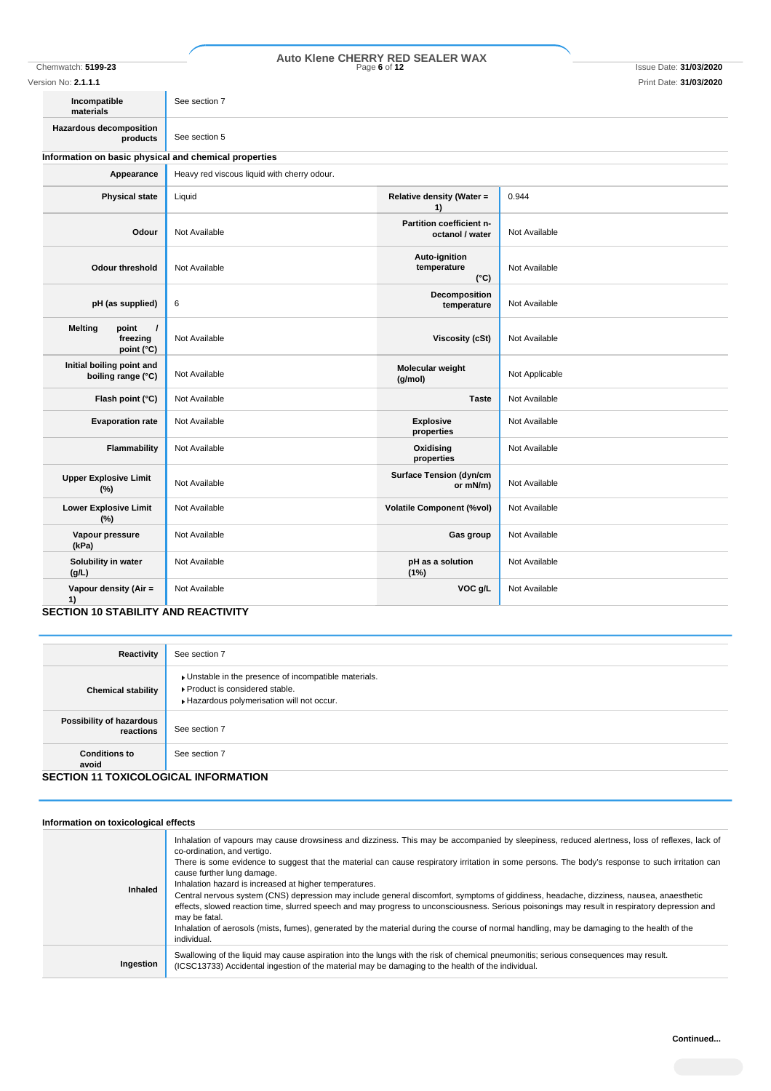## Chemwatch: **5199-23** Page **6** of **12** Issue Date: **31/03/2020 Auto Klene CHERRY RED SEALER WAX**

| Version No: <b>2.1.1.1</b><br>Print Date: 31/03/2020          |                                             |                                               |                |
|---------------------------------------------------------------|---------------------------------------------|-----------------------------------------------|----------------|
| Incompatible<br>materials                                     | See section 7                               |                                               |                |
| <b>Hazardous decomposition</b><br>products                    | See section 5                               |                                               |                |
| Information on basic physical and chemical properties         |                                             |                                               |                |
| Appearance                                                    | Heavy red viscous liquid with cherry odour. |                                               |                |
| <b>Physical state</b>                                         | Liquid                                      | Relative density (Water =<br>1)               | 0.944          |
| Odour                                                         | Not Available                               | Partition coefficient n-<br>octanol / water   | Not Available  |
| <b>Odour threshold</b>                                        | Not Available                               | Auto-ignition<br>temperature<br>$(^{\circ}C)$ | Not Available  |
| pH (as supplied)                                              | 6                                           | Decomposition<br>temperature                  | Not Available  |
| <b>Melting</b><br>point<br>$\prime$<br>freezing<br>point (°C) | Not Available                               | <b>Viscosity (cSt)</b>                        | Not Available  |
| Initial boiling point and<br>boiling range (°C)               | Not Available                               | Molecular weight<br>(g/mol)                   | Not Applicable |
| Flash point (°C)                                              | Not Available                               | <b>Taste</b>                                  | Not Available  |
| <b>Evaporation rate</b>                                       | Not Available                               | <b>Explosive</b><br>properties                | Not Available  |
| Flammability                                                  | Not Available                               | Oxidising<br>properties                       | Not Available  |
| <b>Upper Explosive Limit</b><br>(%)                           | Not Available                               | <b>Surface Tension (dyn/cm</b><br>or mN/m)    | Not Available  |
| <b>Lower Explosive Limit</b><br>$(\%)$                        | Not Available                               | <b>Volatile Component (%vol)</b>              | Not Available  |
| Vapour pressure<br>(kPa)                                      | Not Available                               | Gas group                                     | Not Available  |
| Solubility in water<br>(g/L)                                  | Not Available                               | pH as a solution<br>(1%)                      | Not Available  |
| Vapour density (Air =<br>1)                                   | Not Available                               | VOC g/L                                       | Not Available  |

**SECTION 10 STABILITY AND REACTIVITY**

| Reactivity                                  | See section 7                                                                                                                        |
|---------------------------------------------|--------------------------------------------------------------------------------------------------------------------------------------|
| <b>Chemical stability</b>                   | • Unstable in the presence of incompatible materials.<br>▶ Product is considered stable.<br>Hazardous polymerisation will not occur. |
| Possibility of hazardous<br>reactions       | See section 7                                                                                                                        |
| <b>Conditions to</b><br>avoid               | See section 7                                                                                                                        |
| <b>SECTION 11 TOXICOLOGICAL INFORMATION</b> |                                                                                                                                      |

### **Information on toxicological effects Inhaled** Inhalation of vapours may cause drowsiness and dizziness. This may be accompanied by sleepiness, reduced alertness, loss of reflexes, lack of co-ordination, and vertigo. There is some evidence to suggest that the material can cause respiratory irritation in some persons. The body's response to such irritation can cause further lung damage. Inhalation hazard is increased at higher temperatures. Central nervous system (CNS) depression may include general discomfort, symptoms of giddiness, headache, dizziness, nausea, anaesthetic effects, slowed reaction time, slurred speech and may progress to unconsciousness. Serious poisonings may result in respiratory depression and may be fatal. Inhalation of aerosols (mists, fumes), generated by the material during the course of normal handling, may be damaging to the health of the individual. **Ingestion** Swallowing of the liquid may cause aspiration into the lungs with the risk of chemical pneumonitis; serious consequences may result. (ICSC13733) Accidental ingestion of the material may be damaging to the health of the individual.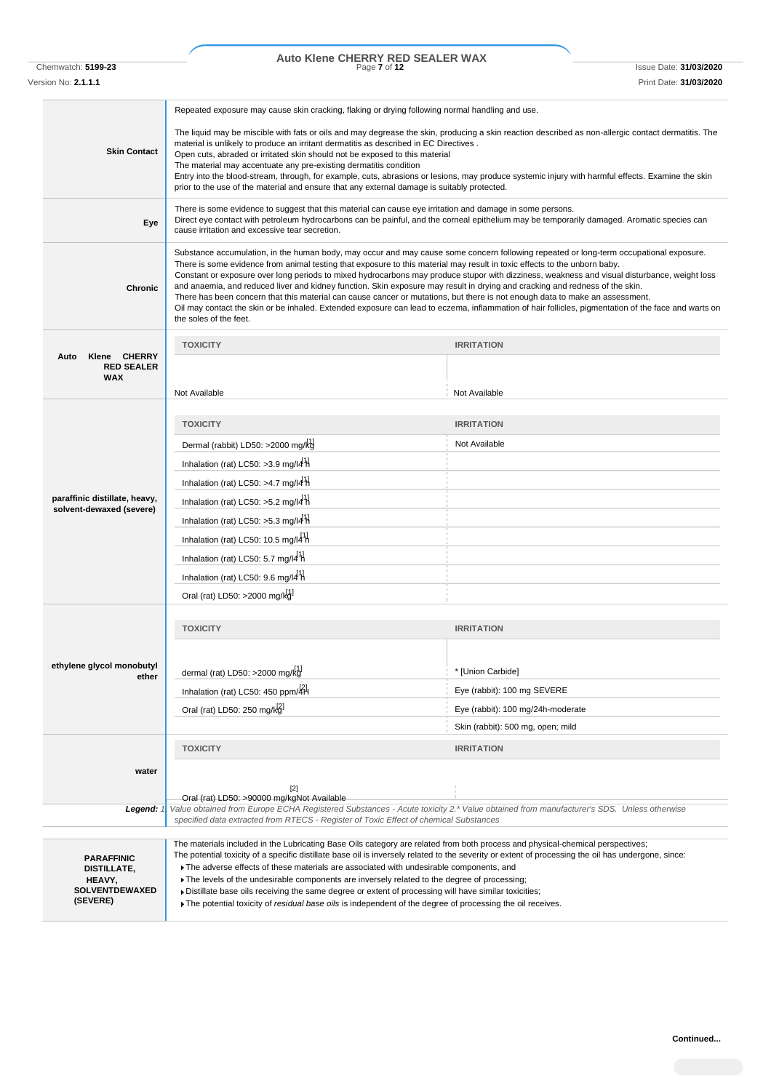# Chemwatch: **5199-23** Page **7** of **12** Issue Date: **31/03/2020 Auto Klene CHERRY RED SEALER WAX**

Version No: **2.1.1.1** Print Date: **31/03/2020**

|                                                         | Repeated exposure may cause skin cracking, flaking or drying following normal handling and use.                                                                                                                                                                                                                                                                                                                                                                                                                                                                                                                                                                                                                                                                                                                                                                      |                                   |  |
|---------------------------------------------------------|----------------------------------------------------------------------------------------------------------------------------------------------------------------------------------------------------------------------------------------------------------------------------------------------------------------------------------------------------------------------------------------------------------------------------------------------------------------------------------------------------------------------------------------------------------------------------------------------------------------------------------------------------------------------------------------------------------------------------------------------------------------------------------------------------------------------------------------------------------------------|-----------------------------------|--|
| <b>Skin Contact</b>                                     | The liquid may be miscible with fats or oils and may degrease the skin, producing a skin reaction described as non-allergic contact dermatitis. The<br>material is unlikely to produce an irritant dermatitis as described in EC Directives.<br>Open cuts, abraded or irritated skin should not be exposed to this material<br>The material may accentuate any pre-existing dermatitis condition<br>Entry into the blood-stream, through, for example, cuts, abrasions or lesions, may produce systemic injury with harmful effects. Examine the skin<br>prior to the use of the material and ensure that any external damage is suitably protected.                                                                                                                                                                                                                 |                                   |  |
| Eye                                                     | There is some evidence to suggest that this material can cause eye irritation and damage in some persons.<br>Direct eye contact with petroleum hydrocarbons can be painful, and the corneal epithelium may be temporarily damaged. Aromatic species can<br>cause irritation and excessive tear secretion.                                                                                                                                                                                                                                                                                                                                                                                                                                                                                                                                                            |                                   |  |
| Chronic                                                 | Substance accumulation, in the human body, may occur and may cause some concern following repeated or long-term occupational exposure.<br>There is some evidence from animal testing that exposure to this material may result in toxic effects to the unborn baby.<br>Constant or exposure over long periods to mixed hydrocarbons may produce stupor with dizziness, weakness and visual disturbance, weight loss<br>and anaemia, and reduced liver and kidney function. Skin exposure may result in drying and cracking and redness of the skin.<br>There has been concern that this material can cause cancer or mutations, but there is not enough data to make an assessment.<br>Oil may contact the skin or be inhaled. Extended exposure can lead to eczema, inflammation of hair follicles, pigmentation of the face and warts on<br>the soles of the feet. |                                   |  |
|                                                         | <b>TOXICITY</b>                                                                                                                                                                                                                                                                                                                                                                                                                                                                                                                                                                                                                                                                                                                                                                                                                                                      | <b>IRRITATION</b>                 |  |
| Klene CHERRY<br>Auto<br><b>RED SEALER</b><br><b>WAX</b> | Not Available                                                                                                                                                                                                                                                                                                                                                                                                                                                                                                                                                                                                                                                                                                                                                                                                                                                        |                                   |  |
|                                                         |                                                                                                                                                                                                                                                                                                                                                                                                                                                                                                                                                                                                                                                                                                                                                                                                                                                                      | Not Available                     |  |
|                                                         | <b>TOXICITY</b>                                                                                                                                                                                                                                                                                                                                                                                                                                                                                                                                                                                                                                                                                                                                                                                                                                                      | <b>IRRITATION</b>                 |  |
|                                                         | Dermal (rabbit) LD50: >2000 mg/kg                                                                                                                                                                                                                                                                                                                                                                                                                                                                                                                                                                                                                                                                                                                                                                                                                                    | Not Available                     |  |
|                                                         | Inhalation (rat) LC50: >3.9 mg/l4 $H$                                                                                                                                                                                                                                                                                                                                                                                                                                                                                                                                                                                                                                                                                                                                                                                                                                |                                   |  |
|                                                         | Inhalation (rat) LC50: >4.7 mg/l4 $H$                                                                                                                                                                                                                                                                                                                                                                                                                                                                                                                                                                                                                                                                                                                                                                                                                                |                                   |  |
| paraffinic distillate, heavy,                           | Inhalation (rat) LC50: >5.2 mg/l4 $\frac{11}{11}$                                                                                                                                                                                                                                                                                                                                                                                                                                                                                                                                                                                                                                                                                                                                                                                                                    |                                   |  |
| solvent-dewaxed (severe)                                | Inhalation (rat) LC50: $>5.3$ mg/l4 H                                                                                                                                                                                                                                                                                                                                                                                                                                                                                                                                                                                                                                                                                                                                                                                                                                |                                   |  |
|                                                         | Inhalation (rat) LC50: 10.5 mg/l4 <sup>1</sup> h                                                                                                                                                                                                                                                                                                                                                                                                                                                                                                                                                                                                                                                                                                                                                                                                                     |                                   |  |
|                                                         | Inhalation (rat) LC50: 5.7 mg/l4 h                                                                                                                                                                                                                                                                                                                                                                                                                                                                                                                                                                                                                                                                                                                                                                                                                                   |                                   |  |
|                                                         | Inhalation (rat) LC50: 9.6 mg/l4 $^1$ H                                                                                                                                                                                                                                                                                                                                                                                                                                                                                                                                                                                                                                                                                                                                                                                                                              |                                   |  |
|                                                         | Oral (rat) LD50: >2000 mg/kg                                                                                                                                                                                                                                                                                                                                                                                                                                                                                                                                                                                                                                                                                                                                                                                                                                         |                                   |  |
|                                                         |                                                                                                                                                                                                                                                                                                                                                                                                                                                                                                                                                                                                                                                                                                                                                                                                                                                                      |                                   |  |
|                                                         | <b>TOXICITY</b>                                                                                                                                                                                                                                                                                                                                                                                                                                                                                                                                                                                                                                                                                                                                                                                                                                                      | <b>IRRITATION</b>                 |  |
|                                                         |                                                                                                                                                                                                                                                                                                                                                                                                                                                                                                                                                                                                                                                                                                                                                                                                                                                                      |                                   |  |
| ethylene glycol monobutyl<br>ether                      | dermal (rat) LD50: >2000 mg/kg                                                                                                                                                                                                                                                                                                                                                                                                                                                                                                                                                                                                                                                                                                                                                                                                                                       | * [Union Carbide]                 |  |
|                                                         | Inhalation (rat) LC50: 450 ppm/4H                                                                                                                                                                                                                                                                                                                                                                                                                                                                                                                                                                                                                                                                                                                                                                                                                                    | Eye (rabbit): 100 mg SEVERE       |  |
|                                                         | Oral (rat) LD50: 250 mg/kg                                                                                                                                                                                                                                                                                                                                                                                                                                                                                                                                                                                                                                                                                                                                                                                                                                           | Eye (rabbit): 100 mg/24h-moderate |  |
|                                                         |                                                                                                                                                                                                                                                                                                                                                                                                                                                                                                                                                                                                                                                                                                                                                                                                                                                                      | Skin (rabbit): 500 mg, open; mild |  |
|                                                         | <b>TOXICITY</b>                                                                                                                                                                                                                                                                                                                                                                                                                                                                                                                                                                                                                                                                                                                                                                                                                                                      | <b>IRRITATION</b>                 |  |
| water                                                   |                                                                                                                                                                                                                                                                                                                                                                                                                                                                                                                                                                                                                                                                                                                                                                                                                                                                      |                                   |  |
|                                                         | $[2]$                                                                                                                                                                                                                                                                                                                                                                                                                                                                                                                                                                                                                                                                                                                                                                                                                                                                |                                   |  |
| Legend:                                                 | Oral (rat) LD50: >90000 mg/kgNot Available<br>Value obtained from Europe ECHA Registered Substances - Acute toxicity 2.* Value obtained from manufacturer's SDS. Unless otherwise                                                                                                                                                                                                                                                                                                                                                                                                                                                                                                                                                                                                                                                                                    |                                   |  |
|                                                         | specified data extracted from RTECS - Register of Toxic Effect of chemical Substances                                                                                                                                                                                                                                                                                                                                                                                                                                                                                                                                                                                                                                                                                                                                                                                |                                   |  |
|                                                         | The materials included in the Lubricating Base Oils category are related from both process and physical-chemical perspectives;                                                                                                                                                                                                                                                                                                                                                                                                                                                                                                                                                                                                                                                                                                                                       |                                   |  |
| <b>PARAFFINIC</b><br>DISTILLATE,                        | The potential toxicity of a specific distillate base oil is inversely related to the severity or extent of processing the oil has undergone, since:<br>The adverse effects of these materials are associated with undesirable components, and                                                                                                                                                                                                                                                                                                                                                                                                                                                                                                                                                                                                                        |                                   |  |
| HEAVY,                                                  | The levels of the undesirable components are inversely related to the degree of processing;                                                                                                                                                                                                                                                                                                                                                                                                                                                                                                                                                                                                                                                                                                                                                                          |                                   |  |
| SOLVENTDEWAXED<br>(SEVERE)                              | Distillate base oils receiving the same degree or extent of processing will have similar toxicities;<br>• The potential toxicity of <i>residual base oils</i> is independent of the degree of processing the oil receives.                                                                                                                                                                                                                                                                                                                                                                                                                                                                                                                                                                                                                                           |                                   |  |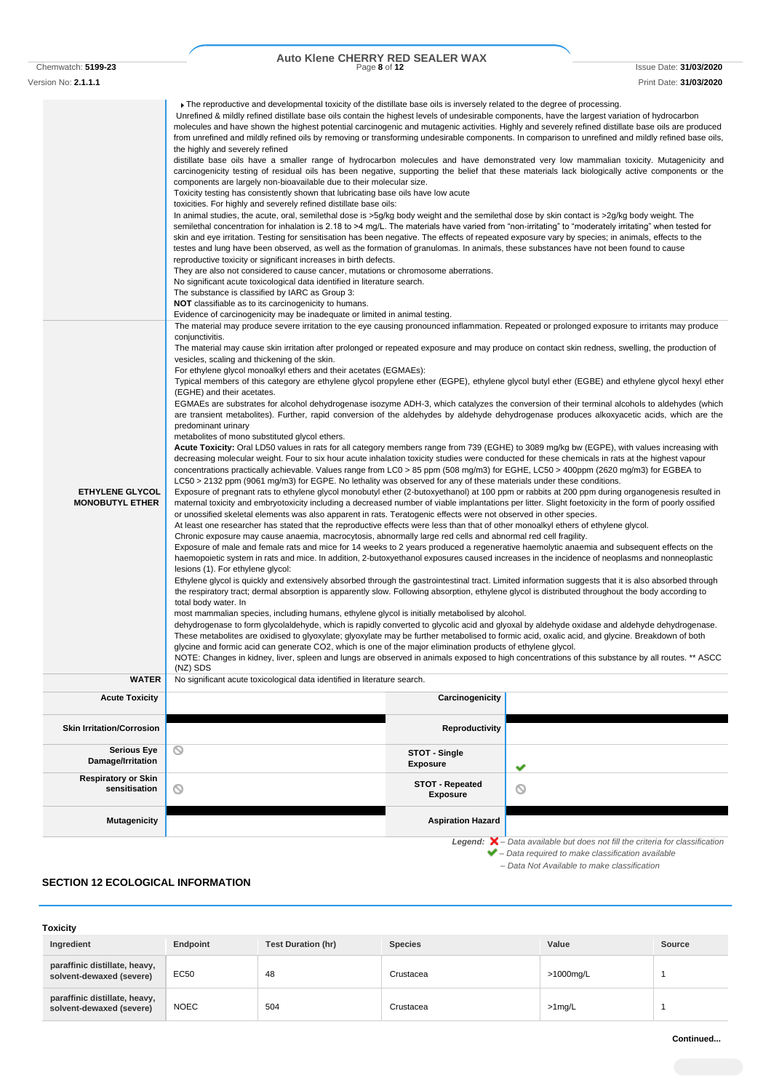# Auto Klene CHERRY RED SEALER WAX

Chemwatch: **5199-23** Page **8** of **12** Issue Date: **31/03/2020** Version No: **2.1.1.1** Print Date: **31/03/2020**

The reproductive and developmental toxicity of the distillate base oils is inversely related to the degree of processing. Unrefined & mildly refined distillate base oils contain the highest levels of undesirable components, have the largest variation of hydrocarbon molecules and have shown the highest potential carcinogenic and mutagenic activities. Highly and severely refined distillate base oils are produced from unrefined and mildly refined oils by removing or transforming undesirable components. In comparison to unrefined and mildly refined base oils, the highly and severely refined distillate base oils have a smaller range of hydrocarbon molecules and have demonstrated very low mammalian toxicity. Mutagenicity and carcinogenicity testing of residual oils has been negative, supporting the belief that these materials lack biologically active components or the components are largely non-bioavailable due to their molecular size. Toxicity testing has consistently shown that lubricating base oils have low acute toxicities. For highly and severely refined distillate base oils: In animal studies, the acute, oral, semilethal dose is >5g/kg body weight and the semilethal dose by skin contact is >2g/kg body weight. The semilethal concentration for inhalation is 2.18 to >4 mg/L. The materials have varied from "non-irritating" to "moderately irritating" when tested for skin and eye irritation. Testing for sensitisation has been negative. The effects of repeated exposure vary by species; in animals, effects to the testes and lung have been observed, as well as the formation of granulomas. In animals, these substances have not been found to cause reproductive toxicity or significant increases in birth defects. They are also not considered to cause cancer, mutations or chromosome aberrations. No significant acute toxicological data identified in literature search. The substance is classified by IARC as Group 3: **NOT** classifiable as to its carcinogenicity to humans. Evidence of carcinogenicity may be inadequate or limited in animal testing. The material may produce severe irritation to the eye causing pronounced inflammation. Repeated or prolonged exposure to irritants may produce conjunctivitis. The material may cause skin irritation after prolonged or repeated exposure and may produce on contact skin redness, swelling, the production of vesicles, scaling and thickening of the skin. For ethylene glycol monoalkyl ethers and their acetates (EGMAEs): Typical members of this category are ethylene glycol propylene ether (EGPE), ethylene glycol butyl ether (EGBE) and ethylene glycol hexyl ether (EGHE) and their acetates. EGMAEs are substrates for alcohol dehydrogenase isozyme ADH-3, which catalyzes the conversion of their terminal alcohols to aldehydes (which are transient metabolites). Further, rapid conversion of the aldehydes by aldehyde dehydrogenase produces alkoxyacetic acids, which are the predominant urinary metabolites of mono substituted glycol ethers. **Acute Toxicity:** Oral LD50 values in rats for all category members range from 739 (EGHE) to 3089 mg/kg bw (EGPE), with values increasing with decreasing molecular weight. Four to six hour acute inhalation toxicity studies were conducted for these chemicals in rats at the highest vapour concentrations practically achievable. Values range from LC0 > 85 ppm (508 mg/m3) for EGHE, LC50 > 400ppm (2620 mg/m3) for EGBEA to LC50 > 2132 ppm (9061 mg/m3) for EGPE. No lethality was observed for any of these materials under these conditions. **ETHYLENE GLYCOL** Exposure of pregnant rats to ethylene glycol monobutyl ether (2-butoxyethanol) at 100 ppm or rabbits at 200 ppm during organogenesis resulted in **MONOBUTYL ETHER** maternal toxicity and embryotoxicity including a decreased number of viable implantations per litter. Slight foetoxicity in the form of poorly ossified or unossified skeletal elements was also apparent in rats. Teratogenic effects were not observed in other species. At least one researcher has stated that the reproductive effects were less than that of other monoalkyl ethers of ethylene glycol. Chronic exposure may cause anaemia, macrocytosis, abnormally large red cells and abnormal red cell fragility. Exposure of male and female rats and mice for 14 weeks to 2 years produced a regenerative haemolytic anaemia and subsequent effects on the haemopoietic system in rats and mice. In addition, 2-butoxyethanol exposures caused increases in the incidence of neoplasms and nonneoplastic lesions (1). For ethylene glycol: Ethylene glycol is quickly and extensively absorbed through the gastrointestinal tract. Limited information suggests that it is also absorbed through the respiratory tract; dermal absorption is apparently slow. Following absorption, ethylene glycol is distributed throughout the body according to total body water. In most mammalian species, including humans, ethylene glycol is initially metabolised by alcohol. dehydrogenase to form glycolaldehyde, which is rapidly converted to glycolic acid and glyoxal by aldehyde oxidase and aldehyde dehydrogenase. These metabolites are oxidised to glyoxylate; glyoxylate may be further metabolised to formic acid, oxalic acid, and glycine. Breakdown of both glycine and formic acid can generate CO2, which is one of the major elimination products of ethylene glycol. NOTE: Changes in kidney, liver, spleen and lungs are observed in animals exposed to high concentrations of this substance by all routes. \*\* ASCC (NZ) SDS **WATER** No significant acute toxicological data identified in literature search. **Acute Toxicity Carcinogenicity Carcinogenicity Skin Irritation/Corrosion Serious Eye** ര **STOT - Single Damage/Irritation Exposure Respiratory or Skin sensitisation STOT - Repeated STOT - Repeated**  $\circ$ **Exposure Mutagenicity Aspiration Hazard Aspiration Hazard Aspiration Hazard Aspiration Hazard** *Legend: – Data available but does not fill the criteria for classification – Data required to make classification available – Data Not Available to make classification* **SECTION 12 ECOLOGICAL INFORMATION**

## **Toxicity Ingredient Endpoint Test Duration (hr) Species Value Source paraffinic distillate, heavy, solvent-dewaxed (severe) EC50 48 Crustacea >1000mg/L 1000mg/L 1000mg/L 1000mg/L paraffinic distillate, heavy, solvent-dewaxed (severe)** NOEC 504 Crustacea >1mg/L 1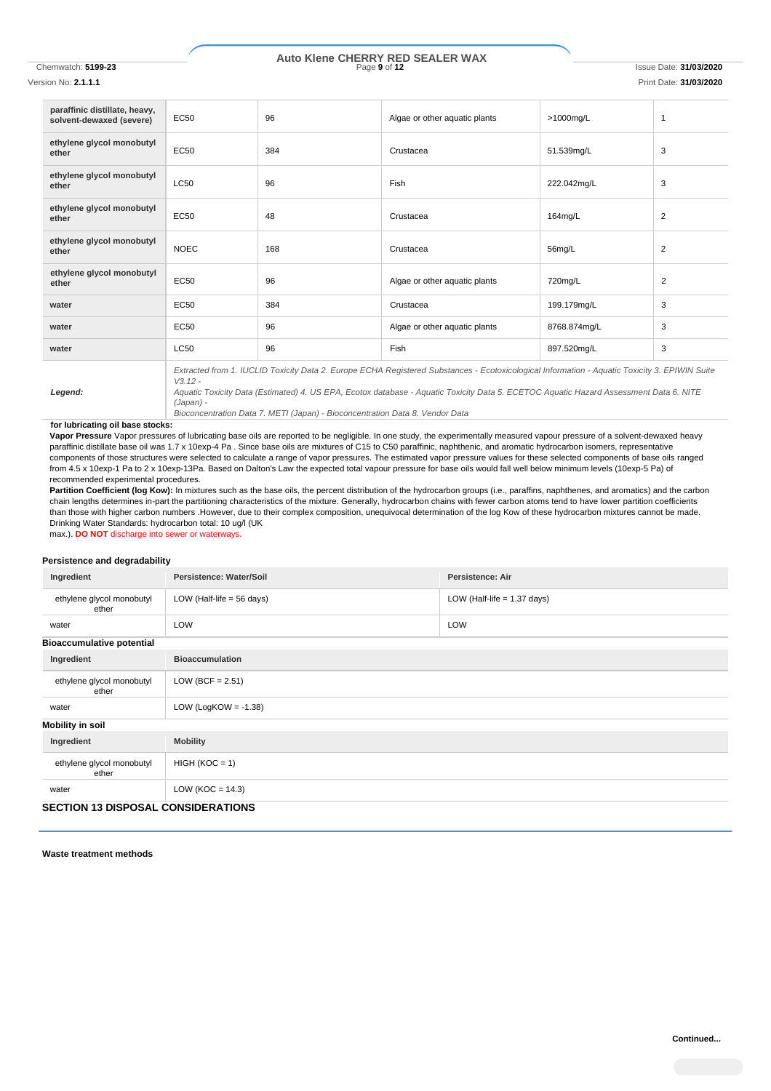# Chemwatch: **5199-23** Page **9** of **12** Issue Date: **31/03/2020 Auto Klene CHERRY RED SEALER WAX**

Version No: **2.1.1.1** Print Date: **31/03/2020**

| paraffinic distillate, heavy,<br>solvent-dewaxed (severe) | <b>EC50</b>                                                                                                                                                | 96  | Algae or other aquatic plants | >1000mg/L    | 1              |
|-----------------------------------------------------------|------------------------------------------------------------------------------------------------------------------------------------------------------------|-----|-------------------------------|--------------|----------------|
| ethylene glycol monobutyl<br>ether                        | <b>EC50</b>                                                                                                                                                | 384 | Crustacea                     | 51.539mg/L   | 3              |
| ethylene glycol monobutyl<br>ether                        | <b>LC50</b>                                                                                                                                                | 96  | Fish                          | 222.042mg/L  | 3              |
| ethylene glycol monobutyl<br>ether                        | <b>EC50</b>                                                                                                                                                | 48  | Crustacea                     | 164mg/L      | 2              |
| ethylene glycol monobutyl<br>ether                        | <b>NOEC</b>                                                                                                                                                | 168 | Crustacea                     | 56mg/L       | 2              |
| ethylene glycol monobutyl<br>ether                        | <b>EC50</b>                                                                                                                                                | 96  | Algae or other aquatic plants | 720mg/L      | $\overline{2}$ |
| water                                                     | <b>EC50</b>                                                                                                                                                | 384 | Crustacea                     | 199.179mg/L  | 3              |
| water                                                     | <b>EC50</b>                                                                                                                                                | 96  | Algae or other aquatic plants | 8768.874mg/L | 3              |
| water                                                     | <b>LC50</b>                                                                                                                                                | 96  | Fish                          | 897.520mg/L  | 3              |
|                                                           | Extracted from 1. IUCLID Toxicity Data 2. Europe ECHA Registered Substances - Ecotoxicological Information - Aquatic Toxicity 3. EPIWIN Suite<br>$V3.12 -$ |     |                               |              |                |

*Aquatic Toxicity Data (Estimated) 4. US EPA, Ecotox database - Aquatic Toxicity Data 5. ECETOC Aquatic Hazard Assessment Data 6. NITE (Japan) -*

*Bioconcentration Data 7. METI (Japan) - Bioconcentration Data 8. Vendor Data*

### **for lubricating oil base stocks:**

*Legend:*

**Vapor Pressure** Vapor pressures of lubricating base oils are reported to be negligible. In one study, the experimentally measured vapour pressure of a solvent-dewaxed heavy paraffinic distillate base oil was 1.7 x 10exp-4 Pa . Since base oils are mixtures of C15 to C50 paraffinic, naphthenic, and aromatic hydrocarbon isomers, representative components of those structures were selected to calculate a range of vapor pressures. The estimated vapor pressure values for these selected components of base oils ranged from 4.5 x 10exp-1 Pa to 2 x 10exp-13Pa. Based on Dalton's Law the expected total vapour pressure for base oils would fall well below minimum levels (10exp-5 Pa) of recommended experimental procedures.

Partition Coefficient (log Kow): In mixtures such as the base oils, the percent distribution of the hydrocarbon groups (i.e., paraffins, naphthenes, and aromatics) and the carbon chain lengths determines in-part the partitioning characteristics of the mixture. Generally, hydrocarbon chains with fewer carbon atoms tend to have lower partition coefficients than those with higher carbon numbers .However, due to their complex composition, unequivocal determination of the log Kow of these hydrocarbon mixtures cannot be made. Drinking Water Standards: hydrocarbon total: 10 ug/l (UK

max.). **DO NOT** discharge into sewer or waterways.

### **Persistence and degradability**

| Ingredient                                | Persistence: Water/Soil              | <b>Persistence: Air</b>       |  |
|-------------------------------------------|--------------------------------------|-------------------------------|--|
| ethylene glycol monobutyl<br>ether        | LOW (Half-life = $56 \text{ days}$ ) | LOW (Half-life $= 1.37$ days) |  |
| water                                     | LOW                                  | <b>LOW</b>                    |  |
| <b>Bioaccumulative potential</b>          |                                      |                               |  |
| Ingredient                                | <b>Bioaccumulation</b>               |                               |  |
| ethylene glycol monobutyl<br>ether        | LOW (BCF = $2.51$ )                  |                               |  |
| water                                     | LOW (LogKOW = $-1.38$ )              |                               |  |
| <b>Mobility in soil</b>                   |                                      |                               |  |
| Ingredient                                | <b>Mobility</b>                      |                               |  |
| ethylene glycol monobutyl<br>ether        | $HIGH (KOC = 1)$                     |                               |  |
| water                                     | LOW ( $KOC = 14.3$ )                 |                               |  |
| <b>SECTION 13 DISPOSAL CONSIDERATIONS</b> |                                      |                               |  |

**Waste treatment methods**

**Continued...**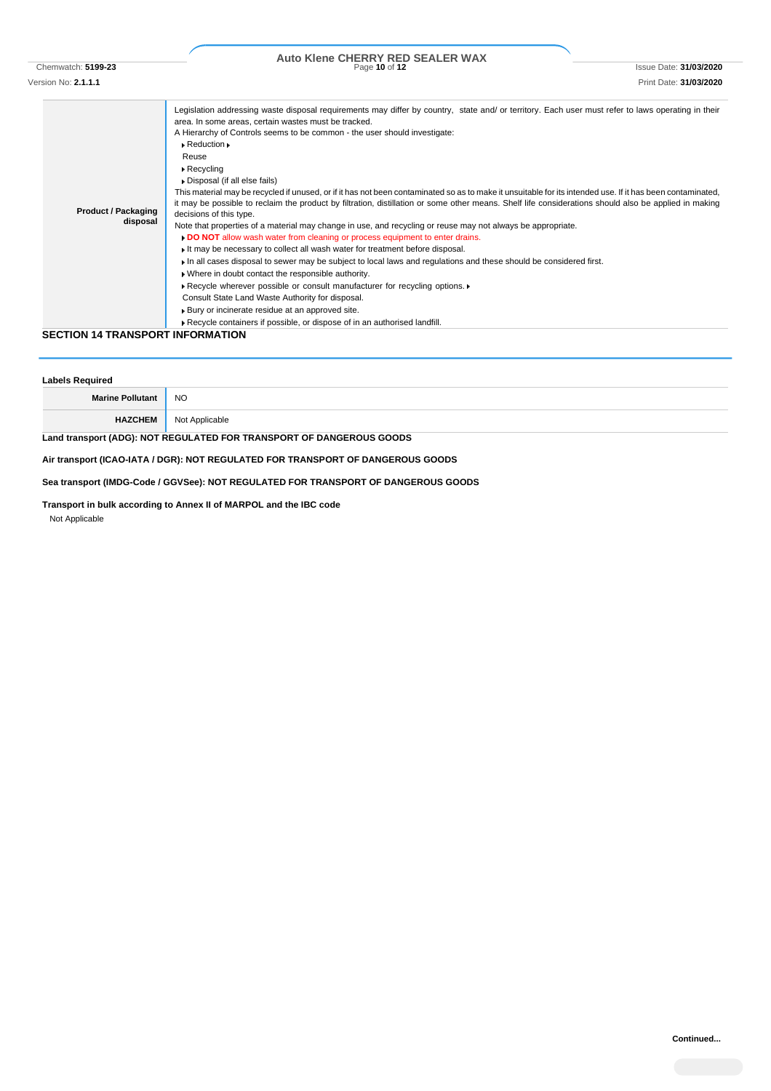## Chemwatch: **5199-23** Page **10** of **12** Issue Date: **31/03/2020 Auto Klene CHERRY RED SEALER WAX**

Version No: **2.1.1.1** Print Date: **31/03/2020 Product / Packaging disposal** Legislation addressing waste disposal requirements may differ by country, state and/ or territory. Each user must refer to laws operating in their area. In some areas, certain wastes must be tracked. A Hierarchy of Controls seems to be common - the user should investigate: Reduction Reuse Recycling Disposal (if all else fails) This material may be recycled if unused, or if it has not been contaminated so as to make it unsuitable for its intended use. If it has been contaminated, it may be possible to reclaim the product by filtration, distillation or some other means. Shelf life considerations should also be applied in making decisions of this type. Note that properties of a material may change in use, and recycling or reuse may not always be appropriate. **DO NOT** allow wash water from cleaning or process equipment to enter drains. It may be necessary to collect all wash water for treatment before disposal. In all cases disposal to sewer may be subject to local laws and regulations and these should be considered first. Where in doubt contact the responsible authority. ▶ Recycle wherever possible or consult manufacturer for recycling options. ▶ Consult State Land Waste Authority for disposal. Bury or incinerate residue at an approved site. Recycle containers if possible, or dispose of in an authorised landfill. **SECTION 14 TRANSPORT INFORMATION**

| <b>Labels Required</b>                                               |                |  |
|----------------------------------------------------------------------|----------------|--|
| <b>Marine Pollutant</b>                                              | NO.            |  |
| <b>HAZCHEM</b>                                                       | Not Applicable |  |
| Land transport (ADG): NOT REGULATED FOR TRANSPORT OF DANGEROUS GOODS |                |  |

**Air transport (ICAO-IATA / DGR): NOT REGULATED FOR TRANSPORT OF DANGEROUS GOODS**

**Sea transport (IMDG-Code / GGVSee): NOT REGULATED FOR TRANSPORT OF DANGEROUS GOODS**

**Transport in bulk according to Annex II of MARPOL and the IBC code** Not Applicable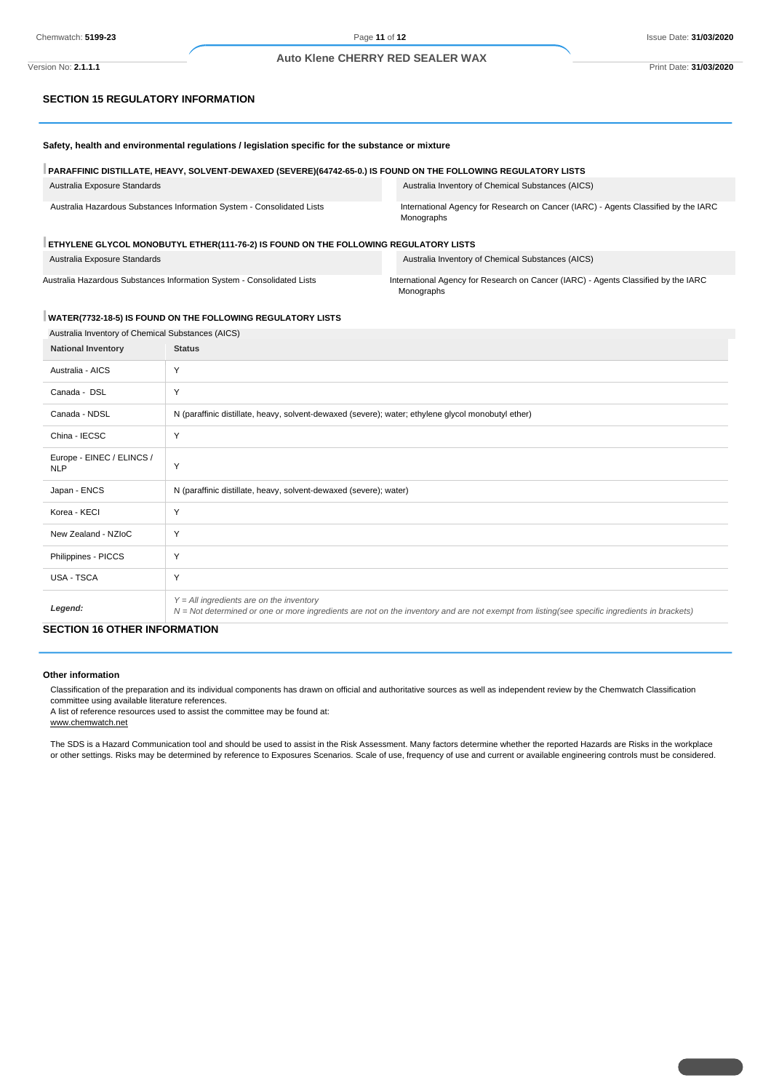### **Auto Klene CHERRY RED SEALER WAX**

## **SECTION 15 REGULATORY INFORMATION**

**Safety, health and environmental regulations / legislation specific for the substance or mixture**

| PARAFFINIC DISTILLATE, HEAVY, SOLVENT-DEWAXED (SEVERE)(64742-65-0.) IS FOUND ON THE FOLLOWING REGULATORY LISTS |                                                                                                  |  |  |
|----------------------------------------------------------------------------------------------------------------|--------------------------------------------------------------------------------------------------|--|--|
| Australia Exposure Standards                                                                                   | Australia Inventory of Chemical Substances (AICS)                                                |  |  |
| Australia Hazardous Substances Information System - Consolidated Lists                                         | International Agency for Research on Cancer (IARC) - Agents Classified by the IARC<br>Monographs |  |  |
| ETHYLENE GLYCOL MONOBUTYL ETHER(111-76-2) IS FOUND ON THE FOLLOWING REGULATORY LISTS                           |                                                                                                  |  |  |

Australia Exposure Standards Australia Inventory of Chemical Substances (AICS)

Australia Hazardous Substances Information System - Consolidated Lists International Agency for Research on Cancer (IARC) - Agents Classified by the IARC Monographs

## **WATER(7732-18-5) IS FOUND ON THE FOLLOWING REGULATORY LISTS**

| Australia Inventory of Chemical Substances (AICS) |                                                                                                                                                                                              |
|---------------------------------------------------|----------------------------------------------------------------------------------------------------------------------------------------------------------------------------------------------|
| <b>National Inventory</b>                         | <b>Status</b>                                                                                                                                                                                |
| Australia - AICS                                  | Y                                                                                                                                                                                            |
| Canada - DSL                                      | Y                                                                                                                                                                                            |
| Canada - NDSL                                     | N (paraffinic distillate, heavy, solvent-dewaxed (severe); water; ethylene glycol monobutyl ether)                                                                                           |
| China - IECSC                                     | Y                                                                                                                                                                                            |
| Europe - EINEC / ELINCS /<br><b>NLP</b>           | Y                                                                                                                                                                                            |
| Japan - ENCS                                      | N (paraffinic distillate, heavy, solvent-dewaxed (severe); water)                                                                                                                            |
| Korea - KECI                                      | Y                                                                                                                                                                                            |
| New Zealand - NZIoC                               | Y                                                                                                                                                                                            |
| Philippines - PICCS                               | Y                                                                                                                                                                                            |
| USA - TSCA                                        | Y                                                                                                                                                                                            |
| Legend:                                           | $Y = All$ ingredients are on the inventory<br>$N = Not$ determined or one or more ingredients are not on the inventory and are not exempt from listing(see specific ingredients in brackets) |
| CECTION 40 OTHER INFORMATION.                     |                                                                                                                                                                                              |

### **SECTION 16 OTHER INFORMATION**

### **Other information**

Classification of the preparation and its individual components has drawn on official and authoritative sources as well as independent review by the Chemwatch Classification committee using available literature references.

A list of reference resources used to assist the committee may be found at:

www.chemwatch.net

The SDS is a Hazard Communication tool and should be used to assist in the Risk Assessment. Many factors determine whether the reported Hazards are Risks in the workplace or other settings. Risks may be determined by reference to Exposures Scenarios. Scale of use, frequency of use and current or available engineering controls must be considered.